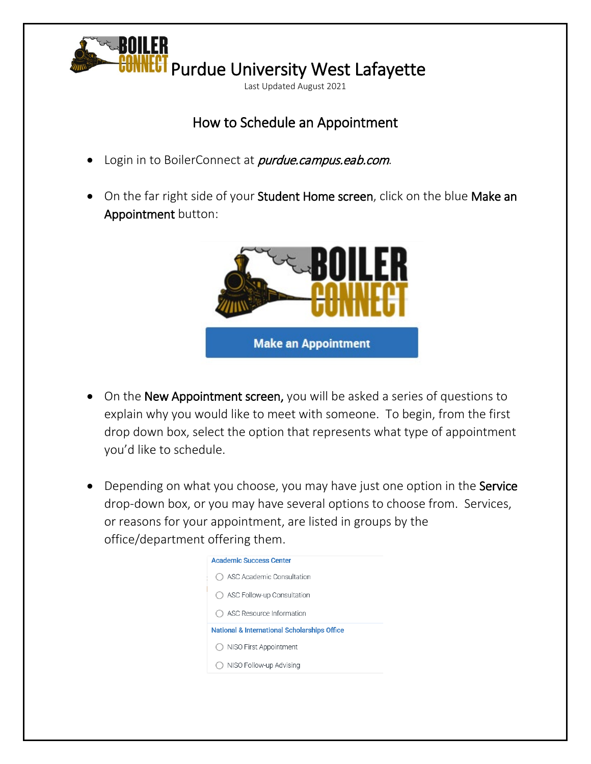

## How to Schedule an Appointment

- Login in to BoilerConnect at *purdue.campus.eab.com*.
- On the far right side of your Student Home screen, click on the blue Make an Appointment button:



- On the New Appointment screen, you will be asked a series of questions to explain why you would like to meet with someone. To begin, from the first drop down box, select the option that represents what type of appointment you'd like to schedule.
- Depending on what you choose, you may have just one option in the Service drop-down box, or you may have several options to choose from. Services, or reasons for your appointment, are listed in groups by the office/department offering them.

| <b>Academic Success Center</b><br>ASC Academic Consultation<br>( )<br>◯ ASC Follow-up Consultation<br>ASC Resource Information<br>( )<br><b>National &amp; International Scholarships Office</b><br>NISO First Appointment<br>( )<br>NISO Follow-up Advising |  |
|--------------------------------------------------------------------------------------------------------------------------------------------------------------------------------------------------------------------------------------------------------------|--|
|                                                                                                                                                                                                                                                              |  |
|                                                                                                                                                                                                                                                              |  |
|                                                                                                                                                                                                                                                              |  |
|                                                                                                                                                                                                                                                              |  |
|                                                                                                                                                                                                                                                              |  |
|                                                                                                                                                                                                                                                              |  |
|                                                                                                                                                                                                                                                              |  |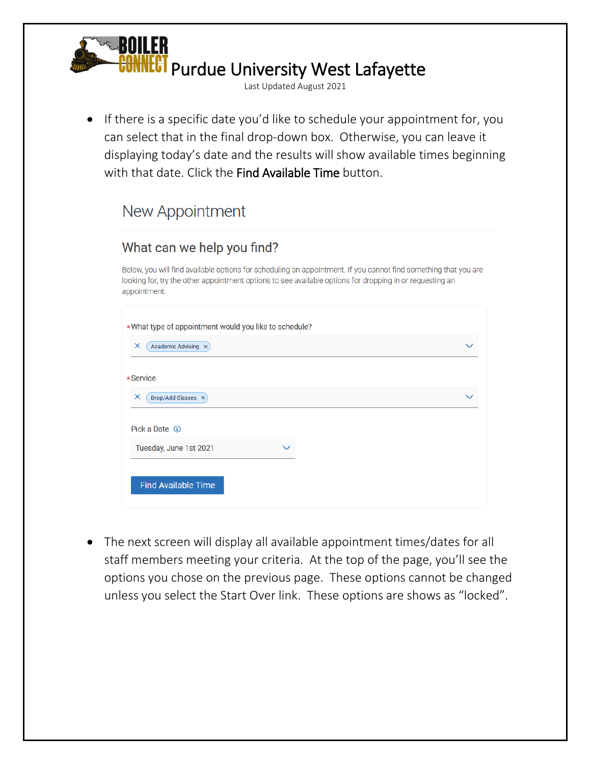

• If there is a specific date you'd like to schedule your appointment for, you can select that in the final drop-down box. Otherwise, you can leave it displaying today's date and the results will show available times beginning with that date. Click the Find Available Time button.

## New Appointment

## What can we help you find?

Below, you will find available options for scheduling an appointment. If you cannot find something that you are looking for, try the other appointment options to see available options for dropping in or requesting an appointment.

| *What type of appointment would you like to schedule? |  |
|-------------------------------------------------------|--|
| Academic Advising X<br>×                              |  |
| *Service                                              |  |
| ×<br>Drop/Add Classes X                               |  |
| Pick a Date ①                                         |  |
| Tuesday, June 1st 2021                                |  |
|                                                       |  |
| <b>Find Available Time</b>                            |  |

• The next screen will display all available appointment times/dates for all staff members meeting your criteria. At the top of the page, you'll see the options you chose on the previous page. These options cannot be changed unless you select the Start Over link. These options are shows as "locked".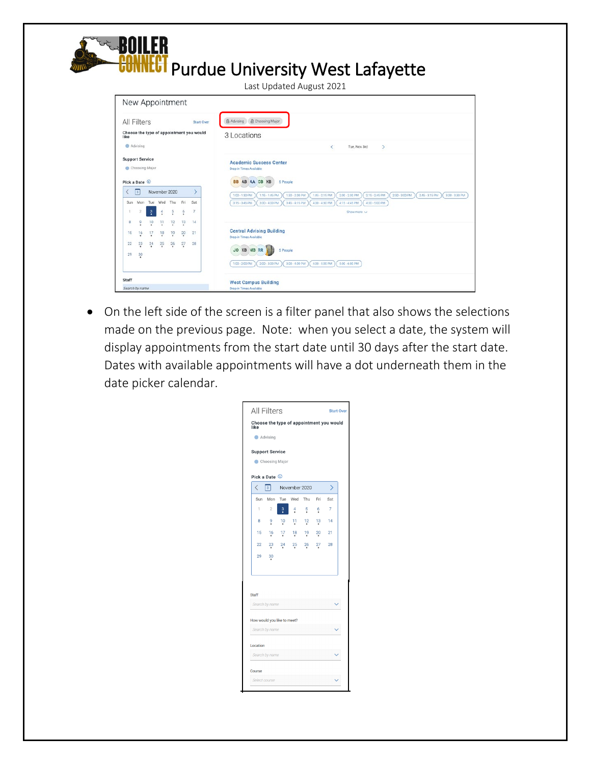

• On the left side of the screen is a filter panel that also shows the selections made on the previous page. Note: when you select a date, the system will display appointments from the start date until 30 days after the start date. Dates with available appointments will have a dot underneath them in the date picker calendar.

|              | Advising                                 |                |               |               |        |                |
|--------------|------------------------------------------|----------------|---------------|---------------|--------|----------------|
|              | <b>Support Service</b><br>Choosing Major |                |               |               |        |                |
|              |                                          |                |               |               |        |                |
| K            | Pick a Date 1<br>3 <sup>1</sup>          |                | November 2020 |               |        | ゝ              |
| Sun          | Mon                                      |                | Tue Wed       | Thu           | Fri    | Sat            |
| 1            | $\overline{2}$                           | $\frac{3}{2}$  | 4             | $\frac{5}{2}$ | 6      | $\overline{7}$ |
| 8            | 9                                        | $\frac{10}{1}$ | $\mathbf{1}$  | 12            | $13 -$ | -14            |
| 15           | 16                                       | $\frac{17}{4}$ | 18            | 19            | 20     | 21             |
| 22           | $^{23}$                                  | $^{24}$        | 25            | 26            | 27     | 28             |
| 29           | 30                                       |                |               |               |        |                |
|              |                                          |                |               |               |        |                |
|              |                                          |                |               |               |        |                |
| <b>Staff</b> |                                          |                |               |               |        |                |
|              | Search by name                           |                |               |               |        |                |
|              | How would you like to meet?              |                |               |               |        |                |
|              | Search by name                           |                |               |               |        |                |
|              |                                          |                |               |               |        |                |
| Location     |                                          |                |               |               |        |                |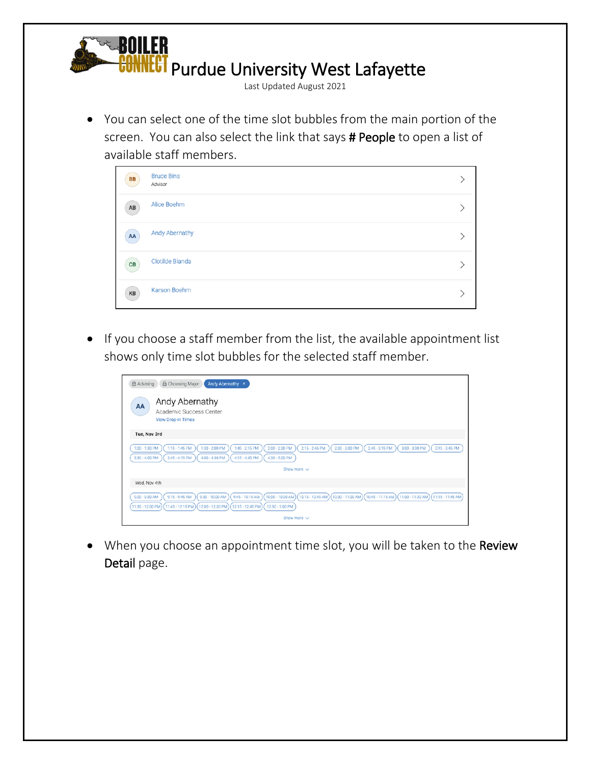

• You can select one of the time slot bubbles from the main portion of the screen. You can also select the link that says # People to open a list of available staff members.

| BB                     | <b>Bruce Bins</b><br>Advisor |  |
|------------------------|------------------------------|--|
| $\mathsf{A}\mathsf{B}$ | Alice Boehm                  |  |
| $\mathsf{A}\mathsf{A}$ | <b>Andy Abernathy</b>        |  |
| CB                     | <b>Clotilde Blanda</b>       |  |
| KB                     | Karson Boehm                 |  |

• If you choose a staff member from the list, the available appointment list shows only time slot bubbles for the selected staff member.

| <b>△</b> Choosing Major<br><b>合 Advising</b><br>Andy Abernathy x                                                                                                                                                                                                                                                                          |
|-------------------------------------------------------------------------------------------------------------------------------------------------------------------------------------------------------------------------------------------------------------------------------------------------------------------------------------------|
| Andy Abernathy<br>AA<br>Academic Success Center<br><b>View Drop-in Times</b>                                                                                                                                                                                                                                                              |
| Tue, Nov 3rd                                                                                                                                                                                                                                                                                                                              |
| $2.00 - 2.30$ PM<br>$2:15 - 2:45$ PM<br>$3:15 - 3:45$ PM<br>$1:00 - 1:30$ PM<br>$1:15 - 1:45$ PM<br>$1:30 - 2:00$ PM<br>$1:45 - 2:15$ PM<br>$2:30 - 3:00$ PM<br>$2:45 - 3:15$ PM<br>$3:00 - 3:30$ PM<br>$3:30 - 4:00$ PM<br>$3:45 - 4:15$ PM<br>4:00 - 4:30 PM<br>4:15 - 4:45 PM<br>4:30 - 5:00 PM                                        |
| Show more $\sim$                                                                                                                                                                                                                                                                                                                          |
| Wed, Nov 4th                                                                                                                                                                                                                                                                                                                              |
| 10:00 - 10:30 AM<br>$9:30 - 10:00$ AM<br>$9:45 - 10:15$ AM<br>$(10:15 - 10:45$ AM<br>$(10:30 - 11:00 AM)$<br>$10:45 - 11:15$ AM<br>$(11:00 - 11:30 AM)$<br>$9:00 - 9:30$ AM<br>$9:15 - 9:45$ AM<br>$(11:15 - 11:45 AM)$<br>$(12.00 - 12.30 P M)$<br>11:30 - 12:00 PM<br>$(11:45 - 12:15 P M)$<br>$(12:15 - 12:45 P M)$<br>12:30 - 1:00 PM |
| Show more $\vee$                                                                                                                                                                                                                                                                                                                          |

• When you choose an appointment time slot, you will be taken to the Review Detail page.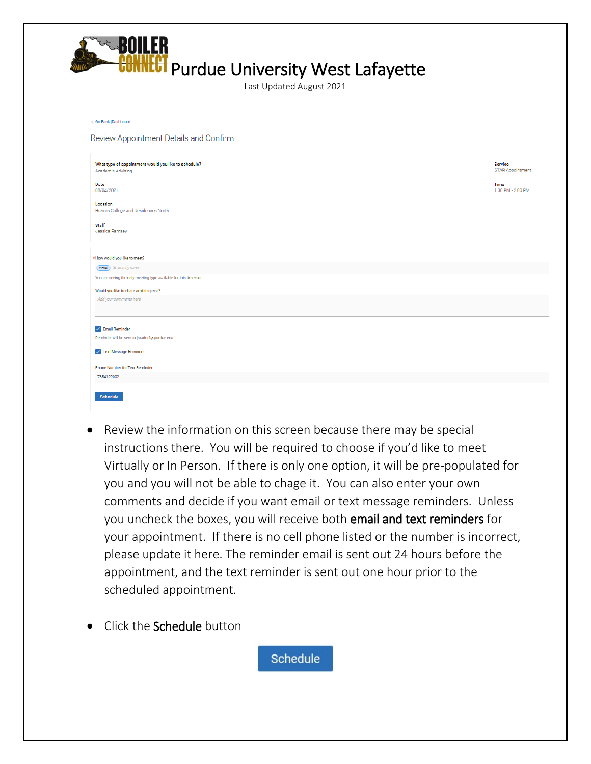

| < Go Back  Dashboard                                                             |                                    |
|----------------------------------------------------------------------------------|------------------------------------|
| Review Appointment Details and Confirm                                           |                                    |
| What type of appointment would you like to schedule?<br><b>Academic Advising</b> | Service<br><b>STAR Appointment</b> |
| Date<br>08/04/2021                                                               | Time<br>1:30 PM - 2:00 PM          |
| Location<br>Honors College and Residences North                                  |                                    |
| Staff<br>Jessica Ramsey                                                          |                                    |
| * How would you like to meet?                                                    |                                    |
| (Wrtual) Search by name                                                          |                                    |
| You are seeing the only meeting type available for this time slot.               |                                    |
| Would you like to share anything else?                                           |                                    |
| Add your comments here                                                           |                                    |
| $\vee$ Email Reminder                                                            |                                    |
| Reminder will be sent to jstudnt1@purdue.edu                                     |                                    |
| V Text Message Reminder                                                          |                                    |
| Phone Number for Text Reminder                                                   |                                    |
| 7654122002                                                                       |                                    |
| <b>Schedule</b>                                                                  |                                    |

- Review the information on this screen because there may be special instructions there. You will be required to choose if you'd like to meet Virtually or In Person. If there is only one option, it will be pre-populated for you and you will not be able to chage it. You can also enter your own comments and decide if you want email or text message reminders. Unless you uncheck the boxes, you will receive both email and text reminders for your appointment. If there is no cell phone listed or the number is incorrect, please update it here. The reminder email is sent out 24 hours before the appointment, and the text reminder is sent out one hour prior to the scheduled appointment.
- **Click the Schedule button**

**Schedule**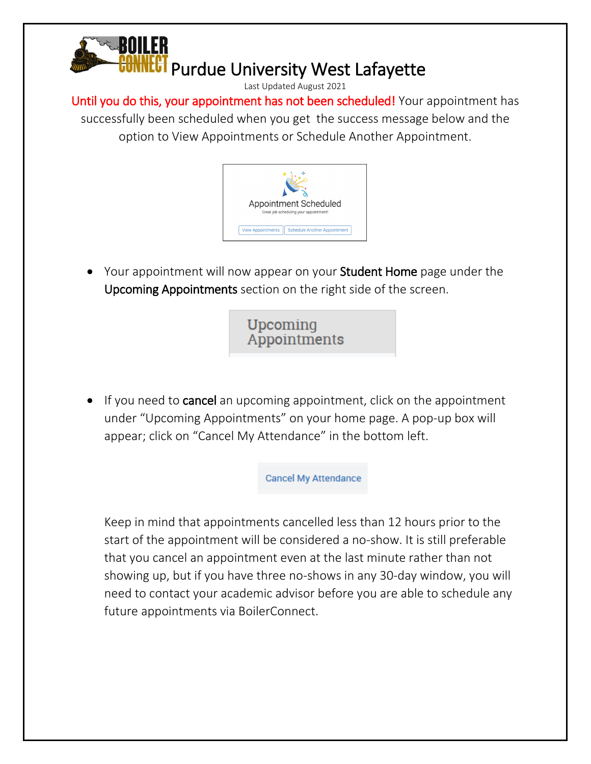

Until you do this, your appointment has not been scheduled! Your appointment has successfully been scheduled when you get the success message below and the option to View Appointments or Schedule Another Appointment.



• Your appointment will now appear on your **Student Home** page under the Upcoming Appointments section on the right side of the screen.



• If you need to cancel an upcoming appointment, click on the appointment under "Upcoming Appointments" on your home page. A pop-up box will appear; click on "Cancel My Attendance" in the bottom left.

**Cancel My Attendance** 

Keep in mind that appointments cancelled less than 12 hours prior to the start of the appointment will be considered a no-show. It is still preferable that you cancel an appointment even at the last minute rather than not showing up, but if you have three no-shows in any 30-day window, you will need to contact your academic advisor before you are able to schedule any future appointments via BoilerConnect.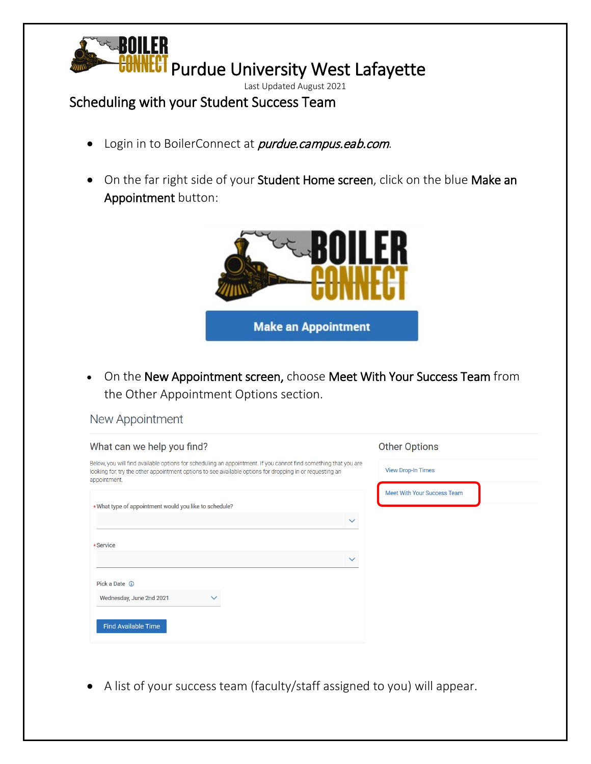

## Scheduling with your Student Success Team

- Login in to BoilerConnect at *purdue.campus.eab.com*.
- On the far right side of your Student Home screen, click on the blue Make an Appointment button:



• On the New Appointment screen, choose Meet With Your Success Team from the Other Appointment Options section.

| What can we help you find?                                                                                                                                                                                                                  | <b>Other Options</b>               |
|---------------------------------------------------------------------------------------------------------------------------------------------------------------------------------------------------------------------------------------------|------------------------------------|
| Below, you will find available options for scheduling an appointment. If you cannot find something that you are<br>looking for, try the other appointment options to see available options for dropping in or requesting an<br>appointment. | <b>View Drop-In Times</b>          |
| *What type of appointment would you like to schedule?                                                                                                                                                                                       | <b>Meet With Your Success Team</b> |
|                                                                                                                                                                                                                                             | $\checkmark$                       |
| *Service                                                                                                                                                                                                                                    |                                    |
|                                                                                                                                                                                                                                             | $\checkmark$                       |
|                                                                                                                                                                                                                                             |                                    |
| Pick a Date (i)<br>Wednesday, June 2nd 2021<br>$\checkmark$                                                                                                                                                                                 |                                    |
|                                                                                                                                                                                                                                             |                                    |
| <b>Find Available Time</b>                                                                                                                                                                                                                  |                                    |
|                                                                                                                                                                                                                                             |                                    |